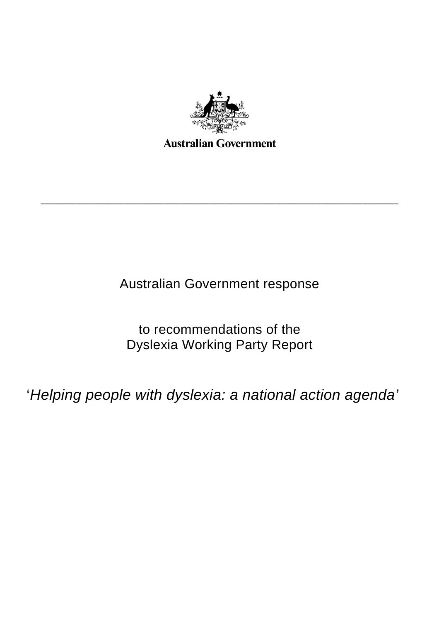

\_\_\_\_\_\_\_\_\_\_\_\_\_\_\_\_\_\_\_\_\_\_\_\_\_\_\_\_\_\_\_\_\_\_\_\_\_\_\_\_\_\_\_\_\_\_\_\_\_\_\_\_\_\_\_\_\_\_\_\_\_\_\_\_\_\_\_\_\_\_

Australian Government response

to recommendations of the Dyslexia Working Party Report

'*Helping people with dyslexia: a national action agenda'*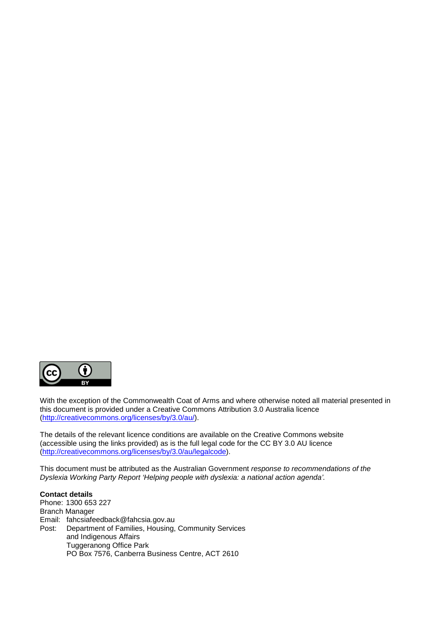

With the exception of the Commonwealth Coat of Arms and where otherwise noted all material presented in this document is provided under a Creative Commons Attribution 3.0 Australia licence (http://creativecommons.org/licenses/by/3.0/au/).

The details of the relevant licence conditions are available on the Creative Commons website (accessible using the links provided) as is the full legal code for the CC BY 3.0 AU licence (http://creativecommons.org/licenses/by/3.0/au/legalcode).

This document must be attributed as the Australian Government *response to recommendations of the Dyslexia Working Party Report 'Helping people with dyslexia: a national action agenda'.*

**Contact details** Phone: 1300 653 227 Branch Manager Email: fahcsiafeedback@fahcsia.gov.au Post: Department of Families, Housing, Community Services and Indigenous Affairs Tuggeranong Office Park PO Box 7576, Canberra Business Centre, ACT 2610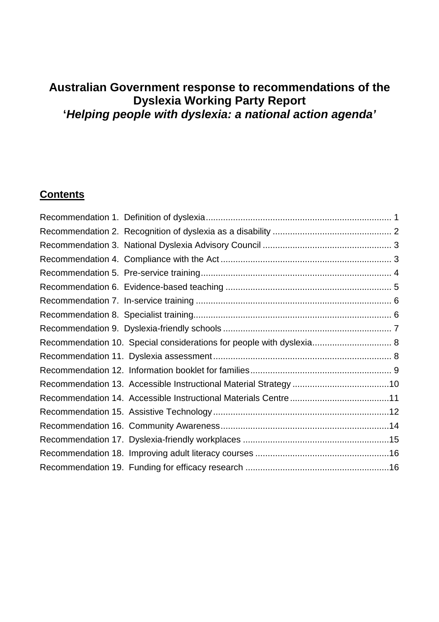# **Australian Government response to recommendations of the Dyslexia Working Party Report '***Helping people with dyslexia: a national action agenda'*

## **Contents**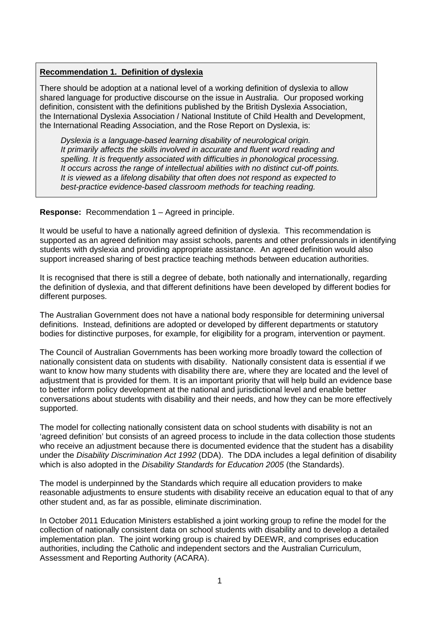#### **Recommendation 1. Definition of dyslexia**

There should be adoption at a national level of a working definition of dyslexia to allow shared language for productive discourse on the issue in Australia. Our proposed working definition, consistent with the definitions published by the British Dyslexia Association, the International Dyslexia Association / National Institute of Child Health and Development, the International Reading Association, and the Rose Report on Dyslexia, is:

*Dyslexia is a language-based learning disability of neurological origin. It primarily affects the skills involved in accurate and fluent word reading and spelling. It is frequently associated with difficulties in phonological processing. It occurs across the range of intellectual abilities with no distinct cut-off points. It is viewed as a lifelong disability that often does not respond as expected to best-practice evidence-based classroom methods for teaching reading.*

#### **Response:** Recommendation 1 – Agreed in principle.

It would be useful to have a nationally agreed definition of dyslexia. This recommendation is supported as an agreed definition may assist schools, parents and other professionals in identifying students with dyslexia and providing appropriate assistance. An agreed definition would also support increased sharing of best practice teaching methods between education authorities.

It is recognised that there is still a degree of debate, both nationally and internationally, regarding the definition of dyslexia, and that different definitions have been developed by different bodies for different purposes.

The Australian Government does not have a national body responsible for determining universal definitions. Instead, definitions are adopted or developed by different departments or statutory bodies for distinctive purposes, for example, for eligibility for a program, intervention or payment.

The Council of Australian Governments has been working more broadly toward the collection of nationally consistent data on students with disability. Nationally consistent data is essential if we want to know how many students with disability there are, where they are located and the level of adjustment that is provided for them. It is an important priority that will help build an evidence base to better inform policy development at the national and jurisdictional level and enable better conversations about students with disability and their needs, and how they can be more effectively supported.

The model for collecting nationally consistent data on school students with disability is not an 'agreed definition' but consists of an agreed process to include in the data collection those students who receive an adjustment because there is documented evidence that the student has a disability under the *Disability Discrimination Act 1992* (DDA). The DDA includes a legal definition of disability which is also adopted in the *Disability Standards for Education 2005* (the Standards).

The model is underpinned by the Standards which require all education providers to make reasonable adjustments to ensure students with disability receive an education equal to that of any other student and, as far as possible, eliminate discrimination.

In October 2011 Education Ministers established a joint working group to refine the model for the collection of nationally consistent data on school students with disability and to develop a detailed implementation plan. The joint working group is chaired by DEEWR, and comprises education authorities, including the Catholic and independent sectors and the Australian Curriculum, Assessment and Reporting Authority (ACARA).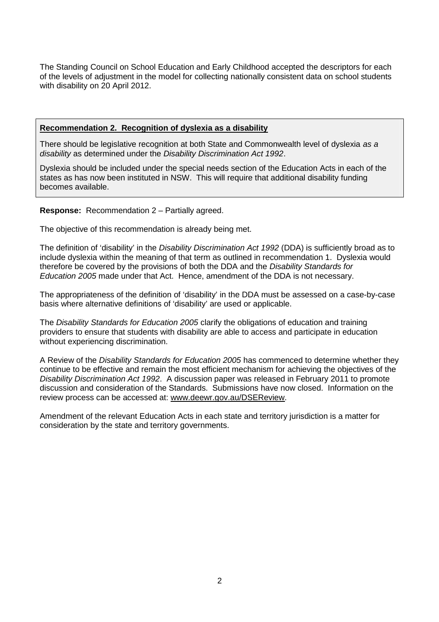The Standing Council on School Education and Early Childhood accepted the descriptors for each of the levels of adjustment in the model for collecting nationally consistent data on school students with disability on 20 April 2012.

#### **Recommendation 2. Recognition of dyslexia as a disability**

There should be legislative recognition at both State and Commonwealth level of dyslexia *as a disability* as determined under the *Disability Discrimination Act 1992*.

Dyslexia should be included under the special needs section of the Education Acts in each of the states as has now been instituted in NSW. This will require that additional disability funding becomes available.

#### **Response:** Recommendation 2 – Partially agreed.

The objective of this recommendation is already being met.

The definition of 'disability' in the *Disability Discrimination Act 1992* (DDA) is sufficiently broad as to include dyslexia within the meaning of that term as outlined in recommendation 1. Dyslexia would therefore be covered by the provisions of both the DDA and the *Disability Standards for Education 2005* made under that Act. Hence, amendment of the DDA is not necessary.

The appropriateness of the definition of 'disability' in the DDA must be assessed on a case-by-case basis where alternative definitions of 'disability' are used or applicable.

The *Disability Standards for Education 2005* clarify the obligations of education and training providers to ensure that students with disability are able to access and participate in education without experiencing discrimination.

A Review of the *Disability Standards for Education 2005* has commenced to determine whether they continue to be effective and remain the most efficient mechanism for achieving the objectives of the *Disability Discrimination Act 1992*. A discussion paper was released in February 2011 to promote discussion and consideration of the Standards. Submissions have now closed. Information on the review process can be accessed at: www.deewr.gov.au/DSEReview.

Amendment of the relevant Education Acts in each state and territory jurisdiction is a matter for consideration by the state and territory governments.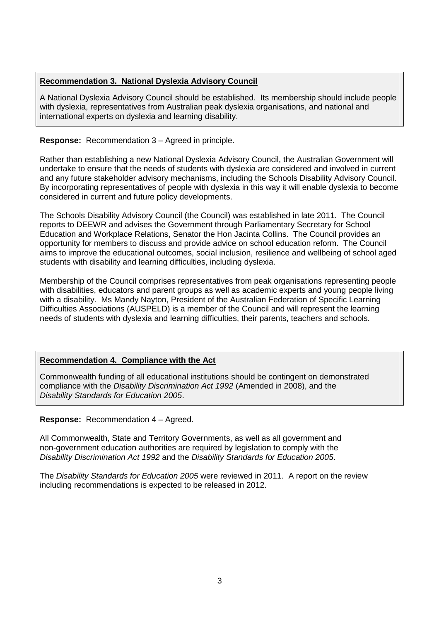## **Recommendation 3. National Dyslexia Advisory Council**

A National Dyslexia Advisory Council should be established. Its membership should include people with dyslexia, representatives from Australian peak dyslexia organisations, and national and international experts on dyslexia and learning disability.

### **Response:** Recommendation 3 – Agreed in principle.

Rather than establishing a new National Dyslexia Advisory Council, the Australian Government will undertake to ensure that the needs of students with dyslexia are considered and involved in current and any future stakeholder advisory mechanisms, including the Schools Disability Advisory Council. By incorporating representatives of people with dyslexia in this way it will enable dyslexia to become considered in current and future policy developments.

The Schools Disability Advisory Council (the Council) was established in late 2011. The Council reports to DEEWR and advises the Government through Parliamentary Secretary for School Education and Workplace Relations, Senator the Hon Jacinta Collins. The Council provides an opportunity for members to discuss and provide advice on school education reform. The Council aims to improve the educational outcomes, social inclusion, resilience and wellbeing of school aged students with disability and learning difficulties, including dyslexia.

Membership of the Council comprises representatives from peak organisations representing people with disabilities, educators and parent groups as well as academic experts and young people living with a disability. Ms Mandy Nayton, President of the Australian Federation of Specific Learning Difficulties Associations (AUSPELD) is a member of the Council and will represent the learning needs of students with dyslexia and learning difficulties, their parents, teachers and schools.

## **Recommendation 4. Compliance with the Act**

Commonwealth funding of all educational institutions should be contingent on demonstrated compliance with the *Disability Discrimination Act 1992* (Amended in 2008), and the *Disability Standards for Education 2005*.

**Response:** Recommendation 4 – Agreed.

All Commonwealth, State and Territory Governments, as well as all government and non-government education authorities are required by legislation to comply with the *Disability Discrimination Act 1992* and the *Disability Standards for Education 2005*.

The *Disability Standards for Education 2005* were reviewed in 2011. A report on the review including recommendations is expected to be released in 2012.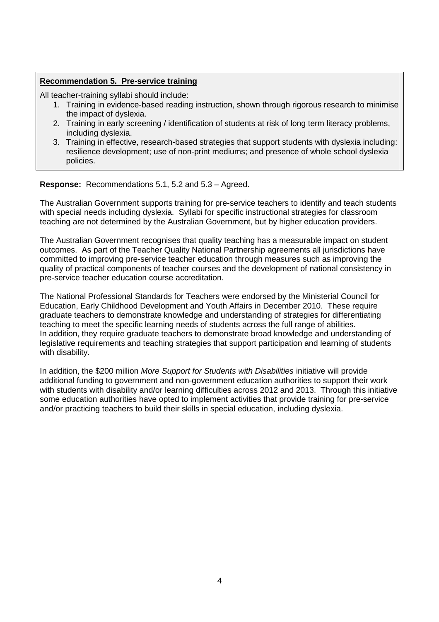## **Recommendation 5. Pre-service training**

All teacher-training syllabi should include:

- 1. Training in evidence-based reading instruction, shown through rigorous research to minimise the impact of dyslexia.
- 2. Training in early screening / identification of students at risk of long term literacy problems, including dyslexia.
- 3. Training in effective, research-based strategies that support students with dyslexia including: resilience development; use of non-print mediums; and presence of whole school dyslexia policies.

**Response:** Recommendations 5.1, 5.2 and 5.3 – Agreed.

The Australian Government supports training for pre-service teachers to identify and teach students with special needs including dyslexia. Syllabi for specific instructional strategies for classroom teaching are not determined by the Australian Government, but by higher education providers.

The Australian Government recognises that quality teaching has a measurable impact on student outcomes. As part of the Teacher Quality National Partnership agreements all jurisdictions have committed to improving pre-service teacher education through measures such as improving the quality of practical components of teacher courses and the development of national consistency in pre-service teacher education course accreditation.

The National Professional Standards for Teachers were endorsed by the Ministerial Council for Education, Early Childhood Development and Youth Affairs in December 2010. These require graduate teachers to demonstrate knowledge and understanding of strategies for differentiating teaching to meet the specific learning needs of students across the full range of abilities. In addition, they require graduate teachers to demonstrate broad knowledge and understanding of legislative requirements and teaching strategies that support participation and learning of students with disability.

In addition, the \$200 million *More Support for Students with Disabilities* initiative will provide additional funding to government and non-government education authorities to support their work with students with disability and/or learning difficulties across 2012 and 2013. Through this initiative some education authorities have opted to implement activities that provide training for pre-service and/or practicing teachers to build their skills in special education, including dyslexia.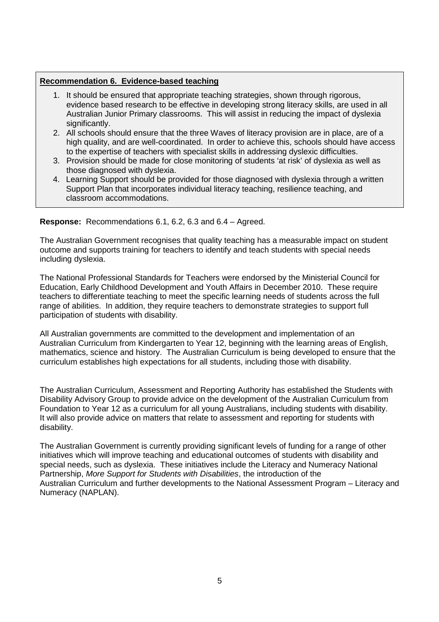## **Recommendation 6. Evidence-based teaching**

- 1. It should be ensured that appropriate teaching strategies, shown through rigorous, evidence based research to be effective in developing strong literacy skills, are used in all Australian Junior Primary classrooms. This will assist in reducing the impact of dyslexia significantly.
- 2. All schools should ensure that the three Waves of literacy provision are in place, are of a high quality, and are well-coordinated. In order to achieve this, schools should have access to the expertise of teachers with specialist skills in addressing dyslexic difficulties.
- 3. Provision should be made for close monitoring of students 'at risk' of dyslexia as well as those diagnosed with dyslexia.
- 4. Learning Support should be provided for those diagnosed with dyslexia through a written Support Plan that incorporates individual literacy teaching, resilience teaching, and classroom accommodations.

**Response:** Recommendations 6.1, 6.2, 6.3 and 6.4 – Agreed.

The Australian Government recognises that quality teaching has a measurable impact on student outcome and supports training for teachers to identify and teach students with special needs including dyslexia.

The National Professional Standards for Teachers were endorsed by the Ministerial Council for Education, Early Childhood Development and Youth Affairs in December 2010. These require teachers to differentiate teaching to meet the specific learning needs of students across the full range of abilities. In addition, they require teachers to demonstrate strategies to support full participation of students with disability.

All Australian governments are committed to the development and implementation of an Australian Curriculum from Kindergarten to Year 12, beginning with the learning areas of English, mathematics, science and history. The Australian Curriculum is being developed to ensure that the curriculum establishes high expectations for all students, including those with disability.

The Australian Curriculum, Assessment and Reporting Authority has established the Students with Disability Advisory Group to provide advice on the development of the Australian Curriculum from Foundation to Year 12 as a curriculum for all young Australians, including students with disability. It will also provide advice on matters that relate to assessment and reporting for students with disability.

The Australian Government is currently providing significant levels of funding for a range of other initiatives which will improve teaching and educational outcomes of students with disability and special needs, such as dyslexia. These initiatives include the Literacy and Numeracy National Partnership, *More Support for Students with Disabilities*, the introduction of the Australian Curriculum and further developments to the National Assessment Program – Literacy and Numeracy (NAPLAN).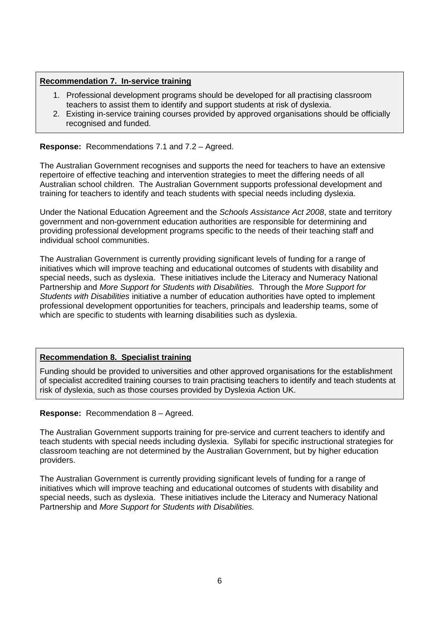## **Recommendation 7. In-service training**

- 1. Professional development programs should be developed for all practising classroom teachers to assist them to identify and support students at risk of dyslexia.
- 2. Existing in-service training courses provided by approved organisations should be officially recognised and funded.

**Response:** Recommendations 7.1 and 7.2 – Agreed.

The Australian Government recognises and supports the need for teachers to have an extensive repertoire of effective teaching and intervention strategies to meet the differing needs of all Australian school children. The Australian Government supports professional development and training for teachers to identify and teach students with special needs including dyslexia.

Under the National Education Agreement and the *Schools Assistance Act 2008*, state and territory government and non-government education authorities are responsible for determining and providing professional development programs specific to the needs of their teaching staff and individual school communities.

The Australian Government is currently providing significant levels of funding for a range of initiatives which will improve teaching and educational outcomes of students with disability and special needs, such as dyslexia. These initiatives include the Literacy and Numeracy National Partnership and *More Support for Students with Disabilities.* Through the *More Support for Students with Disabilities* initiative a number of education authorities have opted to implement professional development opportunities for teachers, principals and leadership teams, some of which are specific to students with learning disabilities such as dyslexia.

#### **Recommendation 8. Specialist training**

Funding should be provided to universities and other approved organisations for the establishment of specialist accredited training courses to train practising teachers to identify and teach students at risk of dyslexia, such as those courses provided by Dyslexia Action UK.

**Response:** Recommendation 8 – Agreed.

The Australian Government supports training for pre-service and current teachers to identify and teach students with special needs including dyslexia. Syllabi for specific instructional strategies for classroom teaching are not determined by the Australian Government, but by higher education providers.

The Australian Government is currently providing significant levels of funding for a range of initiatives which will improve teaching and educational outcomes of students with disability and special needs, such as dyslexia. These initiatives include the Literacy and Numeracy National Partnership and *More Support for Students with Disabilities.*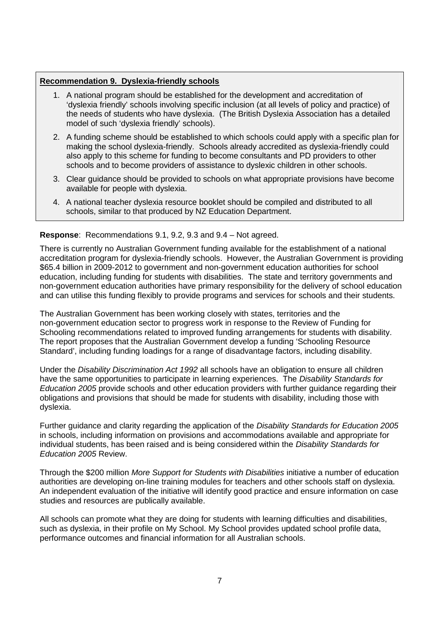## **Recommendation 9. Dyslexia-friendly schools**

- 1. A national program should be established for the development and accreditation of 'dyslexia friendly' schools involving specific inclusion (at all levels of policy and practice) of the needs of students who have dyslexia. (The British Dyslexia Association has a detailed model of such 'dyslexia friendly' schools).
- 2. A funding scheme should be established to which schools could apply with a specific plan for making the school dyslexia-friendly. Schools already accredited as dyslexia-friendly could also apply to this scheme for funding to become consultants and PD providers to other schools and to become providers of assistance to dyslexic children in other schools.
- 3. Clear guidance should be provided to schools on what appropriate provisions have become available for people with dyslexia.
- 4. A national teacher dyslexia resource booklet should be compiled and distributed to all schools, similar to that produced by NZ Education Department.

**Response**: Recommendations 9.1, 9.2, 9.3 and 9.4 – Not agreed.

There is currently no Australian Government funding available for the establishment of a national accreditation program for dyslexia-friendly schools. However, the Australian Government is providing \$65.4 billion in 2009-2012 to government and non-government education authorities for school education, including funding for students with disabilities. The state and territory governments and non-government education authorities have primary responsibility for the delivery of school education and can utilise this funding flexibly to provide programs and services for schools and their students.

The Australian Government has been working closely with states, territories and the non-government education sector to progress work in response to the Review of Funding for Schooling recommendations related to improved funding arrangements for students with disability. The report proposes that the Australian Government develop a funding 'Schooling Resource Standard', including funding loadings for a range of disadvantage factors, including disability.

Under the *Disability Discrimination Act 1992* all schools have an obligation to ensure all children have the same opportunities to participate in learning experiences. The *Disability Standards for Education 2005* provide schools and other education providers with further guidance regarding their obligations and provisions that should be made for students with disability, including those with dyslexia.

Further guidance and clarity regarding the application of the *Disability Standards for Education 2005* in schools, including information on provisions and accommodations available and appropriate for individual students, has been raised and is being considered within the *Disability Standards for Education 2005* Review.

Through the \$200 million *More Support for Students with Disabilities* initiative a number of education authorities are developing on-line training modules for teachers and other schools staff on dyslexia. An independent evaluation of the initiative will identify good practice and ensure information on case studies and resources are publically available.

All schools can promote what they are doing for students with learning difficulties and disabilities, such as dyslexia, in their profile on My School. My School provides updated school profile data, performance outcomes and financial information for all Australian schools.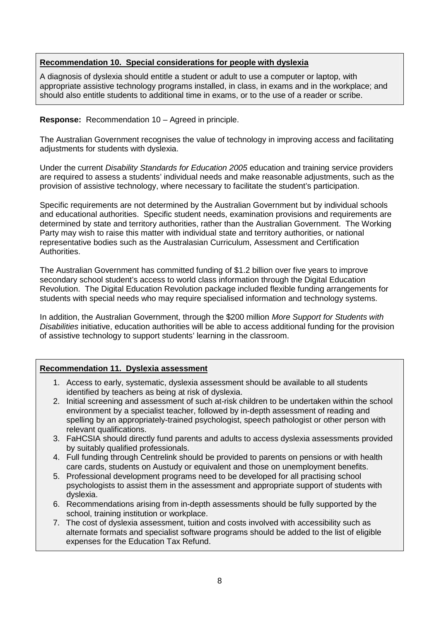## **Recommendation 10. Special considerations for people with dyslexia**

A diagnosis of dyslexia should entitle a student or adult to use a computer or laptop, with appropriate assistive technology programs installed, in class, in exams and in the workplace; and should also entitle students to additional time in exams, or to the use of a reader or scribe.

#### **Response:** Recommendation 10 – Agreed in principle.

The Australian Government recognises the value of technology in improving access and facilitating adjustments for students with dyslexia.

Under the current *Disability Standards for Education 2005* education and training service providers are required to assess a students' individual needs and make reasonable adjustments, such as the provision of assistive technology, where necessary to facilitate the student's participation.

Specific requirements are not determined by the Australian Government but by individual schools and educational authorities. Specific student needs, examination provisions and requirements are determined by state and territory authorities, rather than the Australian Government. The Working Party may wish to raise this matter with individual state and territory authorities, or national representative bodies such as the Australasian Curriculum, Assessment and Certification **Authorities** 

The Australian Government has committed funding of \$1.2 billion over five years to improve secondary school student's access to world class information through the Digital Education Revolution. The Digital Education Revolution package included flexible funding arrangements for students with special needs who may require specialised information and technology systems.

In addition, the Australian Government, through the \$200 million *More Support for Students with Disabilities* initiative, education authorities will be able to access additional funding for the provision of assistive technology to support students' learning in the classroom.

#### **Recommendation 11. Dyslexia assessment**

- 1. Access to early, systematic, dyslexia assessment should be available to all students identified by teachers as being at risk of dyslexia.
- 2. Initial screening and assessment of such at-risk children to be undertaken within the school environment by a specialist teacher, followed by in-depth assessment of reading and spelling by an appropriately-trained psychologist, speech pathologist or other person with relevant qualifications.
- 3. FaHCSIA should directly fund parents and adults to access dyslexia assessments provided by suitably qualified professionals.
- 4. Full funding through Centrelink should be provided to parents on pensions or with health care cards, students on Austudy or equivalent and those on unemployment benefits.
- 5. Professional development programs need to be developed for all practising school psychologists to assist them in the assessment and appropriate support of students with dyslexia.
- 6. Recommendations arising from in-depth assessments should be fully supported by the school, training institution or workplace.
- 7. The cost of dyslexia assessment, tuition and costs involved with accessibility such as alternate formats and specialist software programs should be added to the list of eligible expenses for the Education Tax Refund.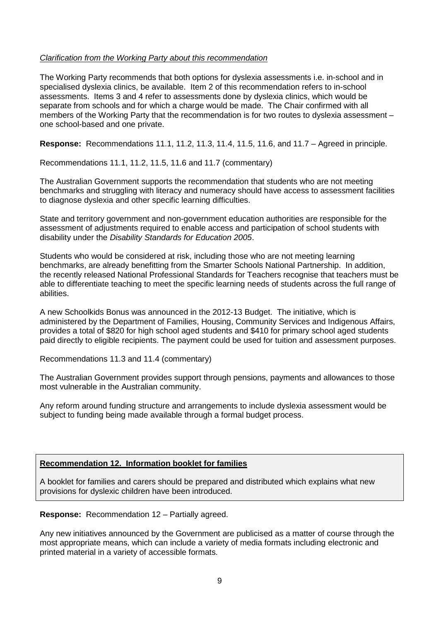#### *Clarification from the Working Party about this recommendation*

The Working Party recommends that both options for dyslexia assessments i.e. in-school and in specialised dyslexia clinics, be available. Item 2 of this recommendation refers to in-school assessments. Items 3 and 4 refer to assessments done by dyslexia clinics, which would be separate from schools and for which a charge would be made. The Chair confirmed with all members of the Working Party that the recommendation is for two routes to dyslexia assessment – one school-based and one private.

**Response:** Recommendations 11.1, 11.2, 11.3, 11.4, 11.5, 11.6, and 11.7 – Agreed in principle.

Recommendations 11.1, 11.2, 11.5, 11.6 and 11.7 (commentary)

The Australian Government supports the recommendation that students who are not meeting benchmarks and struggling with literacy and numeracy should have access to assessment facilities to diagnose dyslexia and other specific learning difficulties.

State and territory government and non-government education authorities are responsible for the assessment of adjustments required to enable access and participation of school students with disability under the *Disability Standards for Education 2005*.

Students who would be considered at risk, including those who are not meeting learning benchmarks, are already benefitting from the Smarter Schools National Partnership. In addition, the recently released National Professional Standards for Teachers recognise that teachers must be able to differentiate teaching to meet the specific learning needs of students across the full range of abilities.

A new Schoolkids Bonus was announced in the 2012-13 Budget. The initiative, which is administered by the Department of Families, Housing, Community Services and Indigenous Affairs, provides a total of \$820 for high school aged students and \$410 for primary school aged students paid directly to eligible recipients. The payment could be used for tuition and assessment purposes.

Recommendations 11.3 and 11.4 (commentary)

The Australian Government provides support through pensions, payments and allowances to those most vulnerable in the Australian community.

Any reform around funding structure and arrangements to include dyslexia assessment would be subject to funding being made available through a formal budget process.

#### **Recommendation 12. Information booklet for families**

A booklet for families and carers should be prepared and distributed which explains what new provisions for dyslexic children have been introduced.

**Response:** Recommendation 12 – Partially agreed.

Any new initiatives announced by the Government are publicised as a matter of course through the most appropriate means, which can include a variety of media formats including electronic and printed material in a variety of accessible formats.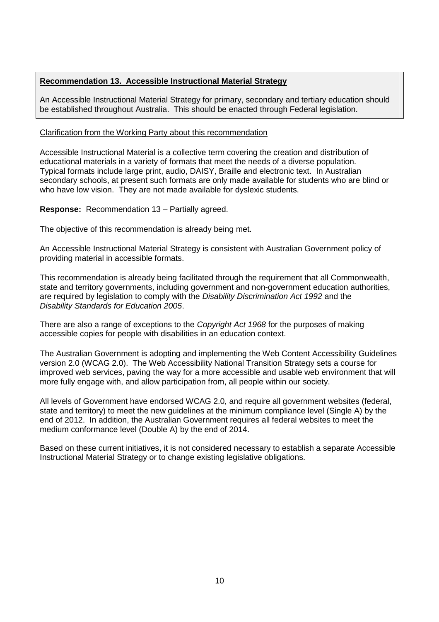## **Recommendation 13. Accessible Instructional Material Strategy**

An Accessible Instructional Material Strategy for primary, secondary and tertiary education should be established throughout Australia. This should be enacted through Federal legislation.

#### Clarification from the Working Party about this recommendation

Accessible Instructional Material is a collective term covering the creation and distribution of educational materials in a variety of formats that meet the needs of a diverse population. Typical formats include large print, audio, DAISY, Braille and electronic text. In Australian secondary schools, at present such formats are only made available for students who are blind or who have low vision. They are not made available for dyslexic students.

**Response:** Recommendation 13 – Partially agreed.

The objective of this recommendation is already being met.

An Accessible Instructional Material Strategy is consistent with Australian Government policy of providing material in accessible formats.

This recommendation is already being facilitated through the requirement that all Commonwealth, state and territory governments, including government and non-government education authorities, are required by legislation to comply with the *Disability Discrimination Act 1992* and the *Disability Standards for Education 2005*.

There are also a range of exceptions to the *Copyright Act 1968* for the purposes of making accessible copies for people with disabilities in an education context.

The Australian Government is adopting and implementing the Web Content Accessibility Guidelines version 2.0 (WCAG 2.0). The Web Accessibility National Transition Strategy sets a course for improved web services, paving the way for a more accessible and usable web environment that will more fully engage with, and allow participation from, all people within our society.

All levels of Government have endorsed WCAG 2.0, and require all government websites (federal, state and territory) to meet the new guidelines at the minimum compliance level (Single A) by the end of 2012. In addition, the Australian Government requires all federal websites to meet the medium conformance level (Double A) by the end of 2014.

Based on these current initiatives, it is not considered necessary to establish a separate Accessible Instructional Material Strategy or to change existing legislative obligations.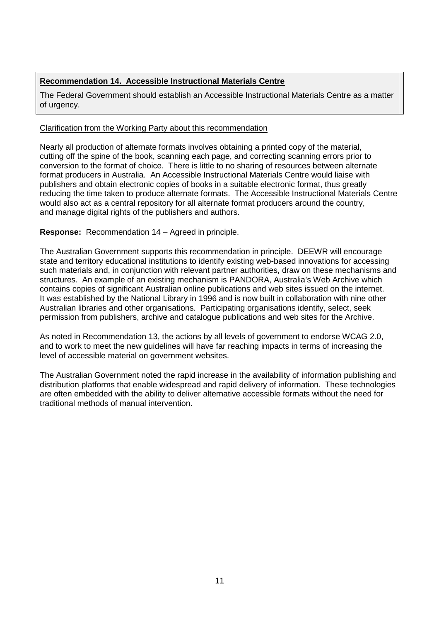## **Recommendation 14. Accessible Instructional Materials Centre**

The Federal Government should establish an Accessible Instructional Materials Centre as a matter of urgency.

## Clarification from the Working Party about this recommendation

Nearly all production of alternate formats involves obtaining a printed copy of the material, cutting off the spine of the book, scanning each page, and correcting scanning errors prior to conversion to the format of choice. There is little to no sharing of resources between alternate format producers in Australia. An Accessible Instructional Materials Centre would liaise with publishers and obtain electronic copies of books in a suitable electronic format, thus greatly reducing the time taken to produce alternate formats. The Accessible Instructional Materials Centre would also act as a central repository for all alternate format producers around the country, and manage digital rights of the publishers and authors.

## **Response:** Recommendation 14 – Agreed in principle.

The Australian Government supports this recommendation in principle. DEEWR will encourage state and territory educational institutions to identify existing web-based innovations for accessing such materials and, in conjunction with relevant partner authorities, draw on these mechanisms and structures. An example of an existing mechanism is PANDORA, Australia's Web Archive which contains copies of significant Australian online publications and web sites issued on the internet. It was established by the National Library in 1996 and is now built in collaboration with nine other Australian libraries and other organisations. Participating organisations identify, select, seek permission from publishers, archive and catalogue publications and web sites for the Archive.

As noted in Recommendation 13, the actions by all levels of government to endorse WCAG 2.0, and to work to meet the new guidelines will have far reaching impacts in terms of increasing the level of accessible material on government websites.

The Australian Government noted the rapid increase in the availability of information publishing and distribution platforms that enable widespread and rapid delivery of information. These technologies are often embedded with the ability to deliver alternative accessible formats without the need for traditional methods of manual intervention.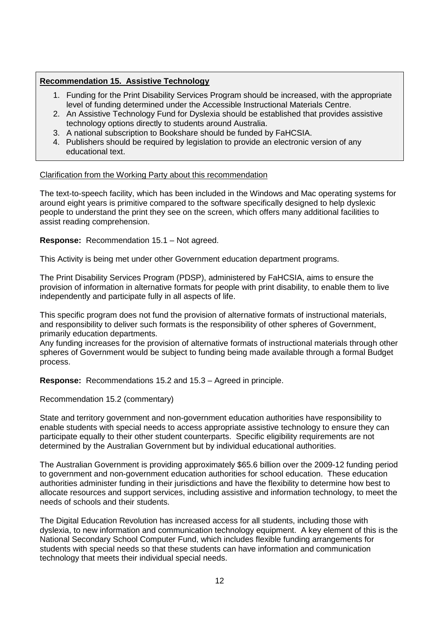## **Recommendation 15. Assistive Technology**

- 1. Funding for the Print Disability Services Program should be increased, with the appropriate level of funding determined under the Accessible Instructional Materials Centre.
- 2. An Assistive Technology Fund for Dyslexia should be established that provides assistive technology options directly to students around Australia.
- 3. A national subscription to Bookshare should be funded by FaHCSIA.
- 4. Publishers should be required by legislation to provide an electronic version of any educational text.

#### Clarification from the Working Party about this recommendation

The text-to-speech facility, which has been included in the Windows and Mac operating systems for around eight years is primitive compared to the software specifically designed to help dyslexic people to understand the print they see on the screen, which offers many additional facilities to assist reading comprehension.

**Response:** Recommendation 15.1 – Not agreed.

This Activity is being met under other Government education department programs.

The Print Disability Services Program (PDSP), administered by FaHCSIA, aims to ensure the provision of information in alternative formats for people with print disability, to enable them to live independently and participate fully in all aspects of life.

This specific program does not fund the provision of alternative formats of instructional materials, and responsibility to deliver such formats is the responsibility of other spheres of Government, primarily education departments.

Any funding increases for the provision of alternative formats of instructional materials through other spheres of Government would be subject to funding being made available through a formal Budget process.

**Response:** Recommendations 15.2 and 15.3 – Agreed in principle.

Recommendation 15.2 (commentary)

State and territory government and non-government education authorities have responsibility to enable students with special needs to access appropriate assistive technology to ensure they can participate equally to their other student counterparts. Specific eligibility requirements are not determined by the Australian Government but by individual educational authorities.

The Australian Government is providing approximately \$65.6 billion over the 2009-12 funding period to government and non-government education authorities for school education. These education authorities administer funding in their jurisdictions and have the flexibility to determine how best to allocate resources and support services, including assistive and information technology, to meet the needs of schools and their students.

The Digital Education Revolution has increased access for all students, including those with dyslexia, to new information and communication technology equipment. A key element of this is the National Secondary School Computer Fund, which includes flexible funding arrangements for students with special needs so that these students can have information and communication technology that meets their individual special needs.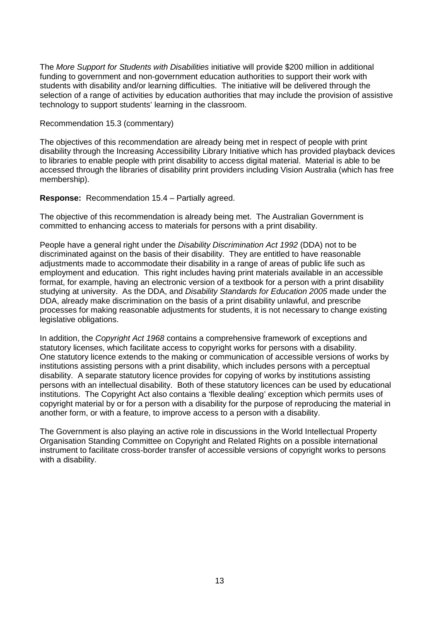The *More Support for Students with Disabilities* initiative will provide \$200 million in additional funding to government and non-government education authorities to support their work with students with disability and/or learning difficulties. The initiative will be delivered through the selection of a range of activities by education authorities that may include the provision of assistive technology to support students' learning in the classroom.

#### Recommendation 15.3 (commentary)

The objectives of this recommendation are already being met in respect of people with print disability through the Increasing Accessibility Library Initiative which has provided playback devices to libraries to enable people with print disability to access digital material. Material is able to be accessed through the libraries of disability print providers including Vision Australia (which has free membership).

**Response:** Recommendation 15.4 – Partially agreed.

The objective of this recommendation is already being met. The Australian Government is committed to enhancing access to materials for persons with a print disability.

People have a general right under the *Disability Discrimination Act 1992* (DDA) not to be discriminated against on the basis of their disability. They are entitled to have reasonable adjustments made to accommodate their disability in a range of areas of public life such as employment and education. This right includes having print materials available in an accessible format, for example, having an electronic version of a textbook for a person with a print disability studying at university. As the DDA, and *Disability Standards for Education 2005* made under the DDA, already make discrimination on the basis of a print disability unlawful, and prescribe processes for making reasonable adjustments for students, it is not necessary to change existing legislative obligations.

In addition, the *Copyright Act 1968* contains a comprehensive framework of exceptions and statutory licenses, which facilitate access to copyright works for persons with a disability. One statutory licence extends to the making or communication of accessible versions of works by institutions assisting persons with a print disability, which includes persons with a perceptual disability. A separate statutory licence provides for copying of works by institutions assisting persons with an intellectual disability. Both of these statutory licences can be used by educational institutions. The Copyright Act also contains a 'flexible dealing' exception which permits uses of copyright material by or for a person with a disability for the purpose of reproducing the material in another form, or with a feature, to improve access to a person with a disability.

The Government is also playing an active role in discussions in the World Intellectual Property Organisation Standing Committee on Copyright and Related Rights on a possible international instrument to facilitate cross-border transfer of accessible versions of copyright works to persons with a disability.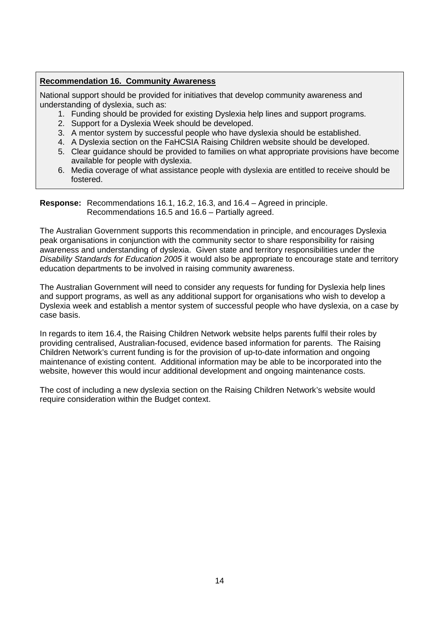## **Recommendation 16. Community Awareness**

National support should be provided for initiatives that develop community awareness and understanding of dyslexia, such as:

- 1. Funding should be provided for existing Dyslexia help lines and support programs.
- 2. Support for a Dyslexia Week should be developed.
- 3. A mentor system by successful people who have dyslexia should be established.
- 4. A Dyslexia section on the FaHCSIA Raising Children website should be developed.
- 5. Clear guidance should be provided to families on what appropriate provisions have become available for people with dyslexia.
- 6. Media coverage of what assistance people with dyslexia are entitled to receive should be fostered.

**Response:** Recommendations 16.1, 16.2, 16.3, and 16.4 – Agreed in principle. Recommendations 16.5 and 16.6 – Partially agreed.

The Australian Government supports this recommendation in principle, and encourages Dyslexia peak organisations in conjunction with the community sector to share responsibility for raising awareness and understanding of dyslexia. Given state and territory responsibilities under the *Disability Standards for Education 2005* it would also be appropriate to encourage state and territory education departments to be involved in raising community awareness.

The Australian Government will need to consider any requests for funding for Dyslexia help lines and support programs, as well as any additional support for organisations who wish to develop a Dyslexia week and establish a mentor system of successful people who have dyslexia, on a case by case basis.

In regards to item 16.4, the Raising Children Network website helps parents fulfil their roles by providing centralised, Australian-focused, evidence based information for parents. The Raising Children Network's current funding is for the provision of up-to-date information and ongoing maintenance of existing content. Additional information may be able to be incorporated into the website, however this would incur additional development and ongoing maintenance costs.

The cost of including a new dyslexia section on the Raising Children Network's website would require consideration within the Budget context.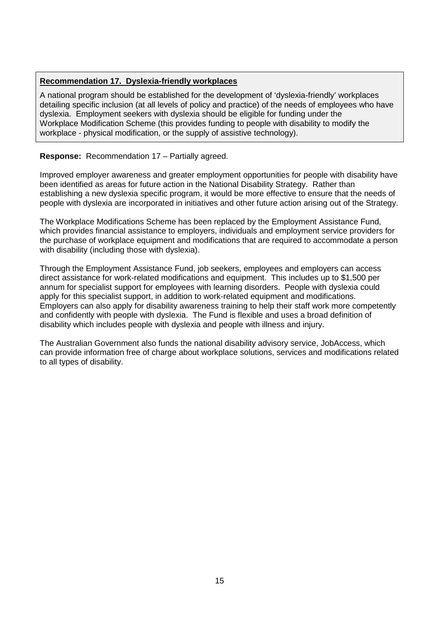## **Recommendation 17. Dyslexia-friendly workplaces**

A national program should be established for the development of 'dyslexia-friendly' workplaces detailing specific inclusion (at all levels of policy and practice) of the needs of employees who have dyslexia. Employment seekers with dyslexia should be eligible for funding under the Workplace Modification Scheme (this provides funding to people with disability to modify the workplace - physical modification, or the supply of assistive technology).

#### **Response:** Recommendation 17 – Partially agreed.

Improved employer awareness and greater employment opportunities for people with disability have been identified as areas for future action in the National Disability Strategy. Rather than establishing a new dyslexia specific program, it would be more effective to ensure that the needs of people with dyslexia are incorporated in initiatives and other future action arising out of the Strategy.

The Workplace Modifications Scheme has been replaced by the Employment Assistance Fund, which provides financial assistance to employers, individuals and employment service providers for the purchase of workplace equipment and modifications that are required to accommodate a person with disability (including those with dyslexia).

Through the Employment Assistance Fund, job seekers, employees and employers can access direct assistance for work-related modifications and equipment. This includes up to \$1,500 per annum for specialist support for employees with learning disorders. People with dyslexia could apply for this specialist support, in addition to work-related equipment and modifications. Employers can also apply for disability awareness training to help their staff work more competently and confidently with people with dyslexia. The Fund is flexible and uses a broad definition of disability which includes people with dyslexia and people with illness and injury.

The Australian Government also funds the national disability advisory service, JobAccess, which can provide information free of charge about workplace solutions, services and modifications related to all types of disability.